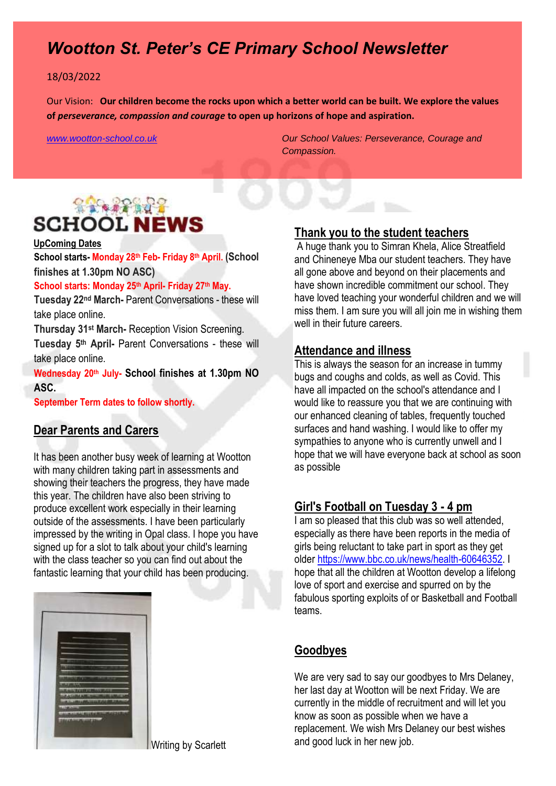# *Wootton St. Peter's CE Primary School Newsletter*

#### 18/03/2022

Our Vision: **Our children become the rocks upon which a better world can be built. We explore the values of** *perseverance, compassion and courage* **to open up horizons of hope and aspiration.** 

*[www.wootton-school.co.uk](http://www.wootton-school.co.uk/) Our School Values: Perseverance, Courage and Compassion.*

# 19942992 **SCHOOL NEWS**

#### **UpComing Dates**

**School starts- Monday 28th Feb- Friday 8th April. (School finishes at 1.30pm NO ASC)**

#### **School starts: Monday 25th April- Friday 27th May.**

**Tuesday 22nd March-** Parent Conversations - these will take place online.

**Thursday 31st March-** Reception Vision Screening.

**Tuesday 5th April-** Parent Conversations - these will take place online.

**Wednesday 20th July- School finishes at 1.30pm NO ASC.**

**September Term dates to follow shortly.** 

### **Dear Parents and Carers**

It has been another busy week of learning at Wootton with many children taking part in assessments and showing their teachers the progress, they have made this year. The children have also been striving to produce excellent work especially in their learning outside of the assessments. I have been particularly impressed by the writing in Opal class. I hope you have signed up for a slot to talk about your child's learning with the class teacher so you can find out about the fantastic learning that your child has been producing.



**Thank you to the student teachers**

A huge thank you to Simran Khela, Alice Streatfield and Chineneye Mba our student teachers. They have all gone above and beyond on their placements and have shown incredible commitment our school. They have loved teaching your wonderful children and we will miss them. I am sure you will all join me in wishing them well in their future careers.

#### **Attendance and illness**

This is always the season for an increase in tummy bugs and coughs and colds, as well as Covid. This have all impacted on the school's attendance and I would like to reassure you that we are continuing with our enhanced cleaning of tables, frequently touched surfaces and hand washing. I would like to offer my sympathies to anyone who is currently unwell and I hope that we will have everyone back at school as soon as possible

### **Girl's Football on Tuesday 3 - 4 pm**

I am so pleased that this club was so well attended, especially as there have been reports in the media of girls being reluctant to take part in sport as they get older [https://www.bbc.co.uk/news/health-60646352.](https://www.bbc.co.uk/news/health-60646352) I hope that all the children at Wootton develop a lifelong love of sport and exercise and spurred on by the fabulous sporting exploits of or Basketball and Football teams.

### **Goodbyes**

We are very sad to say our goodbyes to Mrs Delaney, her last day at Wootton will be next Friday. We are currently in the middle of recruitment and will let you know as soon as possible when we have a replacement. We wish Mrs Delaney our best wishes and good luck in her new job.

Writing by Scarlett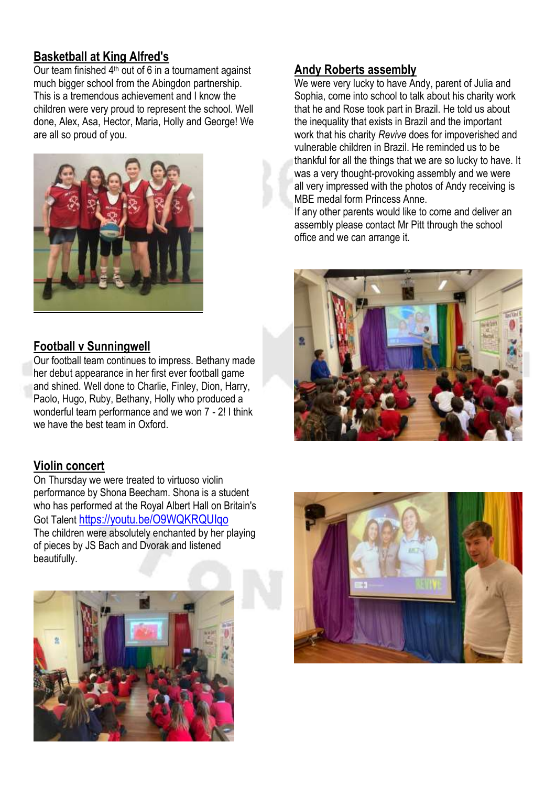# **Basketball at King Alfred's**

Our team finished  $4<sup>th</sup>$  out of 6 in a tournament against much bigger school from the Abingdon partnership. This is a tremendous achievement and I know the children were very proud to represent the school. Well done, Alex, Asa, Hector, Maria, Holly and George! We are all so proud of you.



## **Football v Sunningwell**

Our football team continues to impress. Bethany made her debut appearance in her first ever football game and shined. Well done to Charlie, Finley, Dion, Harry, Paolo, Hugo, Ruby, Bethany, Holly who produced a wonderful team performance and we won 7 - 2! I think we have the best team in Oxford.

## **Violin concert**

On Thursday we were treated to virtuoso violin performance by Shona Beecham. Shona is a student who has performed at the Royal Albert Hall on Britain's Got Talent <https://youtu.be/O9WQKRQUIqo> The children were absolutely enchanted by her playing of pieces by JS Bach and Dvorak and listened beautifully.



## **Andy Roberts assembly**

We were very lucky to have Andy, parent of Julia and Sophia, come into school to talk about his charity work that he and Rose took part in Brazil. He told us about the inequality that exists in Brazil and the important work that his charity *Revive* does for impoverished and vulnerable children in Brazil. He reminded us to be thankful for all the things that we are so lucky to have. It was a very thought-provoking assembly and we were all very impressed with the photos of Andy receiving is MBE medal form Princess Anne.

If any other parents would like to come and deliver an assembly please contact Mr Pitt through the school office and we can arrange it.



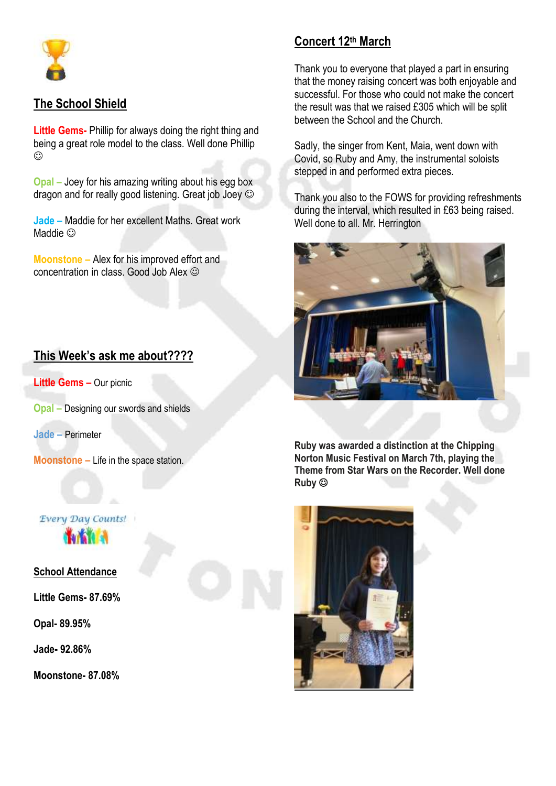

## **The School Shield**

**Little Gems-** Phillip for always doing the right thing and being a great role model to the class. Well done Phillip  $\odot$ 

**Opal –** Joey for his amazing writing about his egg box dragon and for really good listening. Great job Joey  $\odot$ 

**Jade –** Maddie for her excellent Maths. Great work Maddie  $\odot$ 

**Moonstone –** Alex for his improved effort and concentration in class. Good Job Alex

## **This Week's ask me about????**

**Little Gems - Our picnic** 

**Opal –** Designing our swords and shields

**Jade –** Perimeter

**Moonstone –** Life in the space station.

## Every Day Counts! **Tarks**

**School Attendance** 

**Little Gems- 87.69%**

**Opal- 89.95%**

**Jade- 92.86%**

**Moonstone- 87.08%**

## **Concert 12th March**

Thank you to everyone that played a part in ensuring that the money raising concert was both enjoyable and successful. For those who could not make the concert the result was that we raised £305 which will be split between the School and the Church.

Sadly, the singer from Kent, Maia, went down with Covid, so Ruby and Amy, the instrumental soloists stepped in and performed extra pieces.

Thank you also to the FOWS for providing refreshments during the interval, which resulted in £63 being raised. Well done to all. Mr. Herrington



**Ruby was awarded a distinction at the Chipping Norton Music Festival on March 7th, playing the Theme from Star Wars on the Recorder. Well done Ruby**